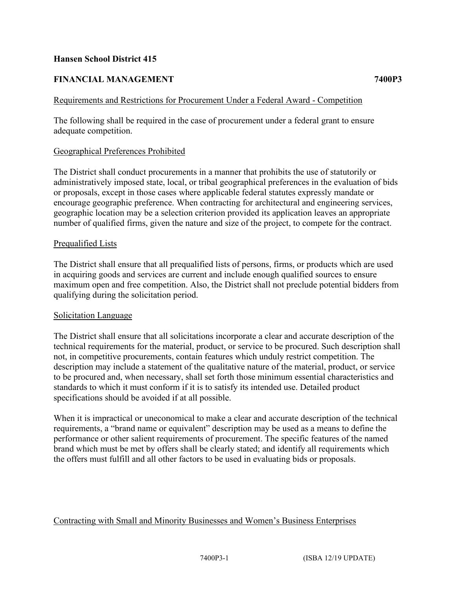### **Hansen School District 415**

# **FINANCIAL MANAGEMENT 7400P3**

## Requirements and Restrictions for Procurement Under a Federal Award - Competition

The following shall be required in the case of procurement under a federal grant to ensure adequate competition.

### Geographical Preferences Prohibited

The District shall conduct procurements in a manner that prohibits the use of statutorily or administratively imposed state, local, or tribal geographical preferences in the evaluation of bids or proposals, except in those cases where applicable federal statutes expressly mandate or encourage geographic preference. When contracting for architectural and engineering services, geographic location may be a selection criterion provided its application leaves an appropriate number of qualified firms, given the nature and size of the project, to compete for the contract.

### Prequalified Lists

The District shall ensure that all prequalified lists of persons, firms, or products which are used in acquiring goods and services are current and include enough qualified sources to ensure maximum open and free competition. Also, the District shall not preclude potential bidders from qualifying during the solicitation period.

### Solicitation Language

The District shall ensure that all solicitations incorporate a clear and accurate description of the technical requirements for the material, product, or service to be procured. Such description shall not, in competitive procurements, contain features which unduly restrict competition. The description may include a statement of the qualitative nature of the material, product, or service to be procured and, when necessary, shall set forth those minimum essential characteristics and standards to which it must conform if it is to satisfy its intended use. Detailed product specifications should be avoided if at all possible.

When it is impractical or uneconomical to make a clear and accurate description of the technical requirements, a "brand name or equivalent" description may be used as a means to define the performance or other salient requirements of procurement. The specific features of the named brand which must be met by offers shall be clearly stated; and identify all requirements which the offers must fulfill and all other factors to be used in evaluating bids or proposals.

### Contracting with Small and Minority Businesses and Women's Business Enterprises